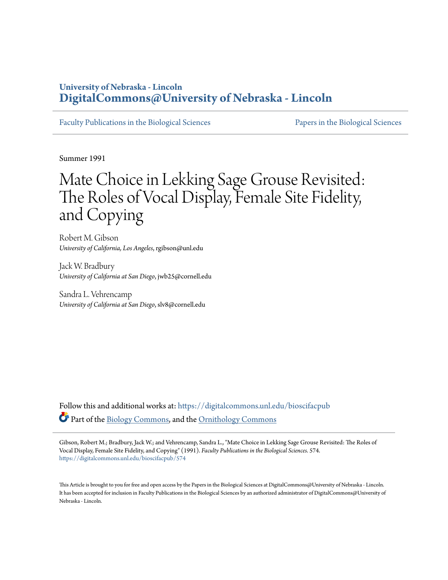## **University of Nebraska - Lincoln [DigitalCommons@University of Nebraska - Lincoln](https://digitalcommons.unl.edu?utm_source=digitalcommons.unl.edu%2Fbioscifacpub%2F574&utm_medium=PDF&utm_campaign=PDFCoverPages)**

[Faculty Publications in the Biological Sciences](https://digitalcommons.unl.edu/bioscifacpub?utm_source=digitalcommons.unl.edu%2Fbioscifacpub%2F574&utm_medium=PDF&utm_campaign=PDFCoverPages) [Papers in the Biological Sciences](https://digitalcommons.unl.edu/bioscipapers?utm_source=digitalcommons.unl.edu%2Fbioscifacpub%2F574&utm_medium=PDF&utm_campaign=PDFCoverPages)

Summer 1991

# Mate Choice in Lekking Sage Grouse Revisited: The Roles of Vocal Display, Female Site Fidelity, and Copying

Robert M. Gibson *University of California, Los Angeles*, rgibson@unl.edu

Jack W. Bradbury *University of California at San Diego*, jwb25@cornell.edu

Sandra L. Vehrencamp *University of California at San Diego*, slv8@cornell.edu

Follow this and additional works at: [https://digitalcommons.unl.edu/bioscifacpub](https://digitalcommons.unl.edu/bioscifacpub?utm_source=digitalcommons.unl.edu%2Fbioscifacpub%2F574&utm_medium=PDF&utm_campaign=PDFCoverPages) Part of the [Biology Commons,](http://network.bepress.com/hgg/discipline/41?utm_source=digitalcommons.unl.edu%2Fbioscifacpub%2F574&utm_medium=PDF&utm_campaign=PDFCoverPages) and the [Ornithology Commons](http://network.bepress.com/hgg/discipline/1190?utm_source=digitalcommons.unl.edu%2Fbioscifacpub%2F574&utm_medium=PDF&utm_campaign=PDFCoverPages)

Gibson, Robert M.; Bradbury, Jack W.; and Vehrencamp, Sandra L., "Mate Choice in Lekking Sage Grouse Revisited: The Roles of Vocal Display, Female Site Fidelity, and Copying" (1991). *Faculty Publications in the Biological Sciences*. 574. [https://digitalcommons.unl.edu/bioscifacpub/574](https://digitalcommons.unl.edu/bioscifacpub/574?utm_source=digitalcommons.unl.edu%2Fbioscifacpub%2F574&utm_medium=PDF&utm_campaign=PDFCoverPages)

This Article is brought to you for free and open access by the Papers in the Biological Sciences at DigitalCommons@University of Nebraska - Lincoln. It has been accepted for inclusion in Faculty Publications in the Biological Sciences by an authorized administrator of DigitalCommons@University of Nebraska - Lincoln.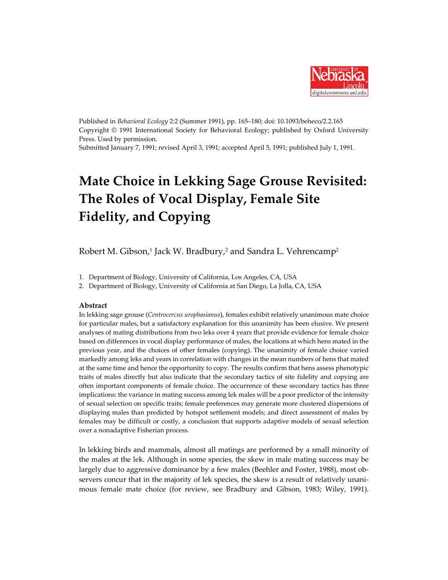

Published in *Behavioral Ecology* 2:2 (Summer 1991), pp. 165–180; doi: 10.1093/beheco/2.2.165 Copyright © 1991 International Society for Behavioral Ecology; published by Oxford University Press. Used by permission.

Submitted January 7, 1991; revised April 3, 1991; accepted April 5, 1991; published July 1, 1991.

# **Mate Choice in Lekking Sage Grouse Revisited: The Roles of Vocal Display, Female Site Fidelity, and Copying**

Robert M. Gibson,<sup>1</sup> Jack W. Bradbury,<sup>2</sup> and Sandra L. Vehrencamp<sup>2</sup>

1. Department of Biology, University of California, Los Angeles, CA, USA

2. Department of Biology, University of California at San Diego, La Jolla, CA, USA

### **Abstract**

In lekking sage grouse (*Centrocercus urophasianus*), females exhibit relatively unanimous mate choice for particular males, but a satisfactory explanation for this unanimity has been elusive. We present analyses of mating distributions from two leks over 4 years that provide evidence for female choice based on differences in vocal display performance of males, the locations at which hens mated in the previous year, and the choices of other females (copying). The unanimity of female choice varied markedly among leks and years in correlation with changes in the mean numbers of hens that mated at the same time and hence the opportunity to copy. The results confirm that hens assess phenotypic traits of males directly but also indicate that the secondary tactics of site fidelity and copying are often important components of female choice. The occurrence of these secondary tactics has three implications: the variance in mating success among lek males will be a poor predictor of the intensity of sexual selection on specific traits; female preferences may generate more clustered dispersions of displaying males than predicted by hotspot settlement models; and direct assessment of males by females may be difficult or costly, a conclusion that supports adaptive models of sexual selection over a nonadaptive Fisherian process.

In lekking birds and mammals, almost all matings are performed by a small minority of the males at the lek. Although in some species, the skew in male mating success may be largely due to aggressive dominance by a few males (Beehler and Foster, 1988), most observers concur that in the majority of lek species, the skew is a result of relatively unanimous female mate choice (for review, see Bradbury and Gibson, 1983; Wiley, 1991).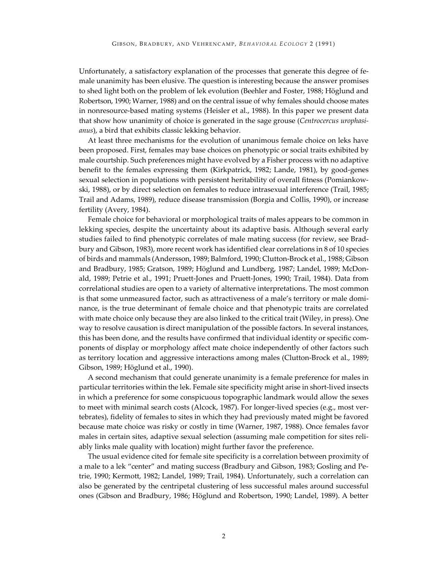Unfortunately, a satisfactory explanation of the processes that generate this degree of female unanimity has been elusive. The question is interesting because the answer promises to shed light both on the problem of lek evolution (Beehler and Foster, 1988; Höglund and Robertson, 1990; Warner, 1988) and on the central issue of why females should choose mates in nonresource-based mating systems (Heisler et al., 1988). In this paper we present data that show how unanimity of choice is generated in the sage grouse (*Centrocercus urophasianus*), a bird that exhibits classic lekking behavior.

At least three mechanisms for the evolution of unanimous female choice on leks have been proposed. First, females may base choices on phenotypic or social traits exhibited by male courtship. Such preferences might have evolved by a Fisher process with no adaptive benefit to the females expressing them (Kirkpatrick, 1982; Lande, 1981), by good-genes sexual selection in populations with persistent heritability of overall fitness (Pomiankowski, 1988), or by direct selection on females to reduce intrasexual interference (Trail, 1985; Trail and Adams, 1989), reduce disease transmission (Borgia and Collis, 1990), or increase fertility (Avery, 1984).

Female choice for behavioral or morphological traits of males appears to be common in lekking species, despite the uncertainty about its adaptive basis. Although several early studies failed to find phenotypic correlates of male mating success (for review, see Bradbury and Gibson, 1983), more recent work has identified clear correlations in 8 of 10 species of birds and mammals (Andersson, 1989; Balmford, 1990; Clutton-Brock et al., 1988; Gibson and Bradbury, 1985; Gratson, 1989; Höglund and Lundberg, 1987; Landel, 1989; McDonald, 1989; Petrie et al., 1991; Pruett-Jones and Pruett-Jones, 1990; Trail, 1984). Data from correlational studies are open to a variety of alternative interpretations. The most common is that some unmeasured factor, such as attractiveness of a male's territory or male dominance, is the true determinant of female choice and that phenotypic traits are correlated with mate choice only because they are also linked to the critical trait (Wiley, in press). One way to resolve causation is direct manipulation of the possible factors. In several instances, this has been done, and the results have confirmed that individual identity or specific components of display or morphology affect mate choice independently of other factors such as territory location and aggressive interactions among males (Clutton-Brock et al., 1989; Gibson, 1989; Höglund et al., 1990).

A second mechanism that could generate unanimity is a female preference for males in particular territories within the lek. Female site specificity might arise in short-lived insects in which a preference for some conspicuous topographic landmark would allow the sexes to meet with minimal search costs (Alcock, 1987). For longer-lived species (e.g., most vertebrates), fidelity of females to sites in which they had previously mated might be favored because mate choice was risky or costly in time (Warner, 1987, 1988). Once females favor males in certain sites, adaptive sexual selection (assuming male competition for sites reliably links male quality with location) might further favor the preference.

The usual evidence cited for female site specificity is a correlation between proximity of a male to a lek "center" and mating success (Bradbury and Gibson, 1983; Gosling and Petrie, 1990; Kermott, 1982; Landel, 1989; Trail, 1984). Unfortunately, such a correlation can also be generated by the centripetal clustering of less successful males around successful ones (Gibson and Bradbury, 1986; Höglund and Robertson, 1990; Landel, 1989). A better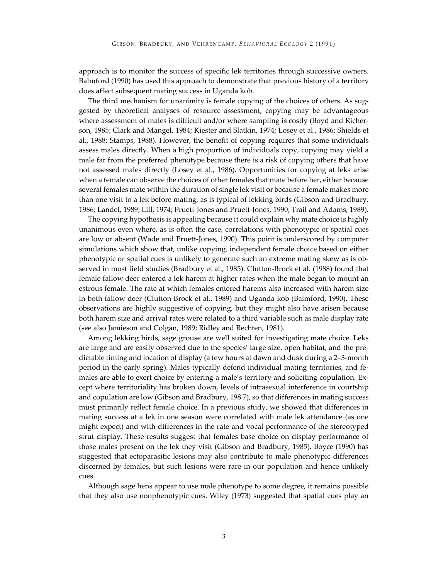approach is to monitor the success of specific lek territories through successive owners. Balmford (1990) has used this approach to demonstrate that previous history of a territory does affect subsequent mating success in Uganda kob.

The third mechanism for unanimity is female copying of the choices of others. As suggested by theoretical analyses of resource assessment, copying may be advantageous where assessment of males is difficult and/or where sampling is costly (Boyd and Richerson, 1985; Clark and Mangel, 1984; Kiester and Slatkin, 1974; Losey et al., 1986; Shields et al., 1988; Stamps, 1988). However, the benefit of copying requires that some individuals assess males directly. When a high proportion of individuals copy, copying may yield a male far from the preferred phenotype because there is a risk of copying others that have not assessed males directly (Losey et al., 1986). Opportunities for copying at leks arise when a female can observe the choices of other females that mate before her, either because several females mate within the duration of single lek visit or because a female makes more than one visit to a lek before mating, as is typical of lekking birds (Gibson and Bradbury, 1986; Landel, 1989; Lill, 1974; Pruett-Jones and Pruett-Jones, 1990; Trail and Adams, 1989).

The copying hypothesis is appealing because it could explain why mate choice is highly unanimous even where, as is often the case, correlations with phenotypic or spatial cues are low or absent (Wade and Pruett-Jones, 1990). This point is underscored by computer simulations which show that, unlike copying, independent female choice based on either phenotypic or spatial cues is unlikely to generate such an extreme mating skew as is observed in most field studies (Bradbury et al., 1985). Clutton-Brock et al. (1988) found that female fallow deer entered a lek harem at higher rates when the male began to mount an estrous female. The rate at which females entered harems also increased with harem size in both fallow deer (Clutton-Brock et al., 1989) and Uganda kob (Balmford, 1990). These observations are highly suggestive of copying, but they might also have arisen because both harem size and arrival rates were related to a third variable such as male display rate (see also Jamieson and Colgan, 1989; Ridley and Rechten, 1981).

Among lekking birds, sage grouse are well suited for investigating mate choice. Leks are large and are easily observed due to the species' large size, open habitat, and the predictable timing and location of display (a few hours at dawn and dusk during a 2–3-month period in the early spring). Males typically defend individual mating territories, and females are able to exert choice by entering a male's territory and soliciting copulation. Except where territoriality has broken down, levels of intrasexual interference in courtship and copulation are low (Gibson and Bradbury, 198 7), so that differences in mating success must primarily reflect female choice. In a previous study, we showed that differences in mating success at a lek in one season were correlated with male lek attendance (as one might expect) and with differences in the rate and vocal performance of the stereotyped strut display. These results suggest that females base choice on display performance of those males present on the lek they visit (Gibson and Bradbury, 1985). Boyce (1990) has suggested that ectoparasitic lesions may also contribute to male phenotypic differences discerned by females, but such lesions were rare in our population and hence unlikely cues.

Although sage hens appear to use male phenotype to some degree, it remains possible that they also use nonphenotypic cues. Wiley (1973) suggested that spatial cues play an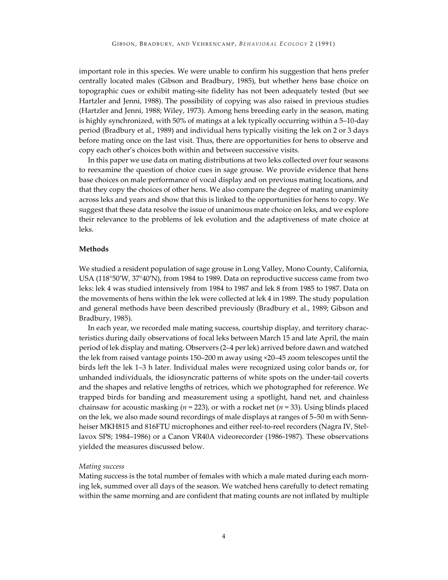important role in this species. We were unable to confirm his suggestion that hens prefer centrally located males (Gibson and Bradbury, 1985), but whether hens base choice on topographic cues or exhibit mating-site fidelity has not been adequately tested (but see Hartzler and Jenni, 1988). The possibility of copying was also raised in previous studies (Hartzler and Jenni, 1988; Wiley, 1973). Among hens breeding early in the season, mating is highly synchronized, with 50% of matings at a lek typically occurring within a 5–10-day period (Bradbury et al., 1989) and individual hens typically visiting the lek on 2 or 3 days before mating once on the last visit. Thus, there are opportunities for hens to observe and copy each other's choices both within and between successive visits.

In this paper we use data on mating distributions at two leks collected over four seasons to reexamine the question of choice cues in sage grouse. We provide evidence that hens base choices on male performance of vocal display and on previous mating locations, and that they copy the choices of other hens. We also compare the degree of mating unanimity across leks and years and show that this is linked to the opportunities for hens to copy. We suggest that these data resolve the issue of unanimous mate choice on leks, and we explore their relevance to the problems of lek evolution and the adaptiveness of mate choice at leks.

#### **Methods**

We studied a resident population of sage grouse in Long Valley, Mono County, California, USA (118°50′W, 37°40′N), from 1984 to 1989. Data on reproductive success came from two leks: lek 4 was studied intensively from 1984 to 1987 and lek 8 from 1985 to 1987. Data on the movements of hens within the lek were collected at lek 4 in 1989. The study population and general methods have been described previously (Bradbury et al., 1989; Gibson and Bradbury, 1985).

In each year, we recorded male mating success, courtship display, and territory characteristics during daily observations of focal leks between March 15 and late April, the main period of lek display and mating. Observers (2–4 per lek) arrived before dawn and watched the lek from raised vantage points 150–200 m away using ×20–45 zoom telescopes until the birds left the lek 1–3 h later. Individual males were recognized using color bands or, for unhanded individuals, the idiosyncratic patterns of white spots on the under-tail coverts and the shapes and relative lengths of retrices, which we photographed for reference. We trapped birds for banding and measurement using a spotlight, hand net, and chainless chainsaw for acoustic masking ( $n = 223$ ), or with a rocket net ( $n = 33$ ). Using blinds placed on the lek, we also made sound recordings of male displays at ranges of 5–50 m with Sennheiser MKH815 and 816FTU microphones and either reel-to-reel recorders (Nagra IV, Stellavox SP8; 1984–1986) or a Canon VR40A videorecorder (1986-1987). These observations yielded the measures discussed below.

#### *Mating success*

Mating success is the total number of females with which a male mated during each morning lek, summed over all days of the season. We watched hens carefully to detect remating within the same morning and are confident that mating counts are not inflated by multiple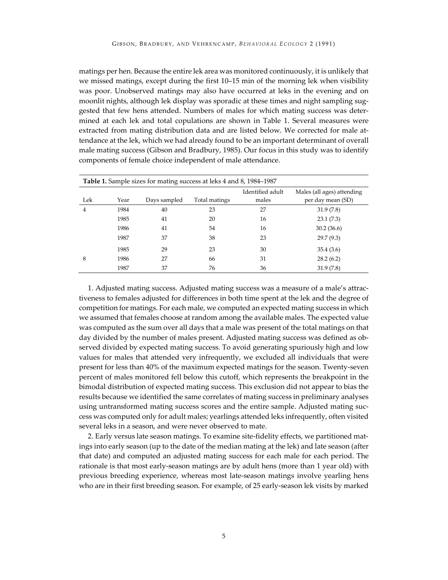matings per hen. Because the entire lek area was monitored continuously, it is unlikely that we missed matings, except during the first 10–15 min of the morning lek when visibility was poor. Unobserved matings may also have occurred at leks in the evening and on moonlit nights, although lek display was sporadic at these times and night sampling suggested that few hens attended. Numbers of males for which mating success was determined at each lek and total copulations are shown in Table 1. Several measures were extracted from mating distribution data and are listed below. We corrected for male attendance at the lek, which we had already found to be an important determinant of overall male mating success (Gibson and Bradbury, 1985). Our focus in this study was to identify components of female choice independent of male attendance.

| <b>Table 1.</b> Sample sizes for mating success at leks 4 and 8, 1984–1987 |      |              |               |                           |                                                 |
|----------------------------------------------------------------------------|------|--------------|---------------|---------------------------|-------------------------------------------------|
| Lek                                                                        | Year | Days sampled | Total matings | Identified adult<br>males | Males (all ages) attending<br>per day mean (SD) |
| $\overline{4}$                                                             | 1984 | 40           | 23            | 27                        | 31.9(7.8)                                       |
|                                                                            | 1985 | 41           | 20            | 16                        | 23.1(7.3)                                       |
|                                                                            | 1986 | 41           | 54            | 16                        | 30.2(36.6)                                      |
|                                                                            | 1987 | 37           | 38            | 23                        | 29.7(9.3)                                       |
|                                                                            | 1985 | 29           | 23            | 30                        | 35.4(3.6)                                       |
| 8                                                                          | 1986 | 27           | 66            | 31                        | 28.2(6.2)                                       |
|                                                                            | 1987 | 37           | 76            | 36                        | 31.9(7.8)                                       |

1. Adjusted mating success. Adjusted mating success was a measure of a male's attractiveness to females adjusted for differences in both time spent at the lek and the degree of competition for matings. For each male, we computed an expected mating success in which we assumed that females choose at random among the available males. The expected value was computed as the sum over all days that a male was present of the total matings on that day divided by the number of males present. Adjusted mating success was defined as observed divided by expected mating success. To avoid generating spuriously high and low values for males that attended very infrequently, we excluded all individuals that were present for less than 40% of the maximum expected matings for the season. Twenty-seven percent of males monitored fell below this cutoff, which represents the breakpoint in the bimodal distribution of expected mating success. This exclusion did not appear to bias the results because we identified the same correlates of mating success in preliminary analyses using untransformed mating success scores and the entire sample. Adjusted mating success was computed only for adult males; yearlings attended leks infrequently, often visited several leks in a season, and were never observed to mate.

2. Early versus late season matings. To examine site-fidelity effects, we partitioned matings into early season (up to the date of the median mating at the lek) and late season (after that date) and computed an adjusted mating success for each male for each period. The rationale is that most early-season matings are by adult hens (more than 1 year old) with previous breeding experience, whereas most late-season matings involve yearling hens who are in their first breeding season. For example, of 25 early-season lek visits by marked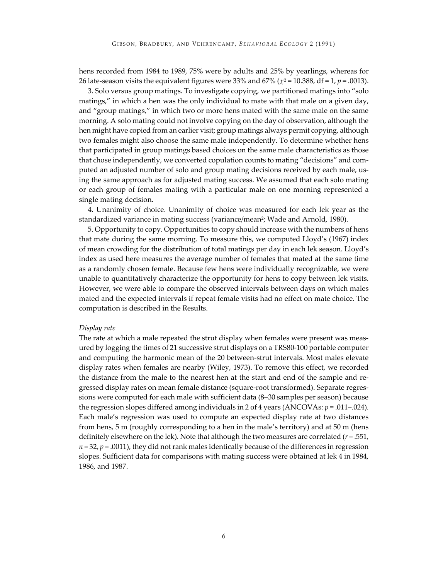hens recorded from 1984 to 1989, 75% were by adults and 25% by yearlings, whereas for 26 late-season visits the equivalent figures were 33% and 67% ( $\chi^2$  = 10.388, df = 1, *p* = .0013).

3. Solo versus group matings. To investigate copying, we partitioned matings into "solo matings," in which a hen was the only individual to mate with that male on a given day, and "group matings," in which two or more hens mated with the same male on the same morning. A solo mating could not involve copying on the day of observation, although the hen might have copied from an earlier visit; group matings always permit copying, although two females might also choose the same male independently. To determine whether hens that participated in group matings based choices on the same male characteristics as those that chose independently, we converted copulation counts to mating "decisions" and computed an adjusted number of solo and group mating decisions received by each male, using the same approach as for adjusted mating success. We assumed that each solo mating or each group of females mating with a particular male on one morning represented a single mating decision.

4. Unanimity of choice. Unanimity of choice was measured for each lek year as the standardized variance in mating success (variance/mean<sup>2</sup>; Wade and Arnold, 1980).

5. Opportunity to copy. Opportunities to copy should increase with the numbers of hens that mate during the same morning. To measure this, we computed Lloyd's (1967) index of mean crowding for the distribution of total matings per day in each lek season. Lloyd's index as used here measures the average number of females that mated at the same time as a randomly chosen female. Because few hens were individually recognizable, we were unable to quantitatively characterize the opportunity for hens to copy between lek visits. However, we were able to compare the observed intervals between days on which males mated and the expected intervals if repeat female visits had no effect on mate choice. The computation is described in the Results.

#### *Display rate*

The rate at which a male repeated the strut display when females were present was measured by logging the times of 21 successive strut displays on a TRS80-100 portable computer and computing the harmonic mean of the 20 between-strut intervals. Most males elevate display rates when females are nearby (Wiley, 1973). To remove this effect, we recorded the distance from the male to the nearest hen at the start and end of the sample and regressed display rates on mean female distance (square-root transformed). Separate regressions were computed for each male with sufficient data (8–30 samples per season) because the regression slopes differed among individuals in 2 of 4 years (ANCOVAs: *p* = .011–.024). Each male's regression was used to compute an expected display rate at two distances from hens, 5 m (roughly corresponding to a hen in the male's territory) and at 50 m (hens definitely elsewhere on the lek). Note that although the two measures are correlated (*r* = .551,  $n = 32$ ,  $p = .0011$ ), they did not rank males identically because of the differences in regression slopes. Sufficient data for comparisons with mating success were obtained at lek 4 in 1984, 1986, and 1987.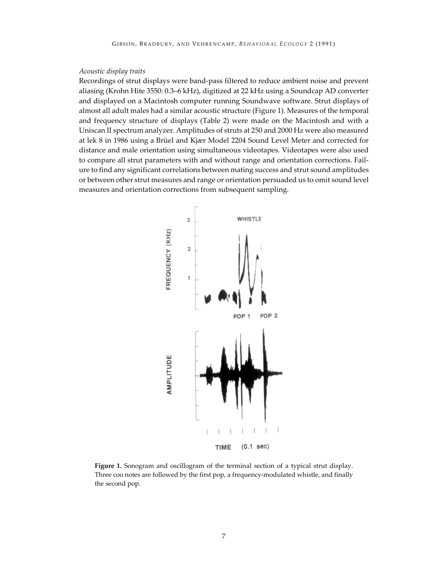#### *Acoustic display traits*

Recordings of strut displays were band-pass filtered to reduce ambient noise and prevent aliasing (Krohn Hite 3550: 0.3–6 kHz), digitized at 22 kHz using a Soundcap AD converter and displayed on a Macintosh computer running Soundwave software. Strut displays of almost all adult males had a similar acoustic structure (Figure 1). Measures of the temporal and frequency structure of displays (Table 2) were made on the Macintosh and with a Uniscan II spectrum analyzer. Amplitudes of struts at 250 and 2000 Hz were also measured at lek 8 in 1986 using a Brüel and Kjær Model 2204 Sound Level Meter and corrected for distance and male orientation using simultaneous videotapes. Videotapes were also used to compare all strut parameters with and without range and orientation corrections. Failure to find any significant correlations between mating success and strut sound amplitudes or between other strut measures and range or orientation persuaded us to omit sound level measures and orientation corrections from subsequent sampling.



**Figure 1.** Sonogram and oscillogram of the terminal section of a typical strut display. Three coo notes are followed by the first pop, a frequency-modulated whistle, and finally the second pop.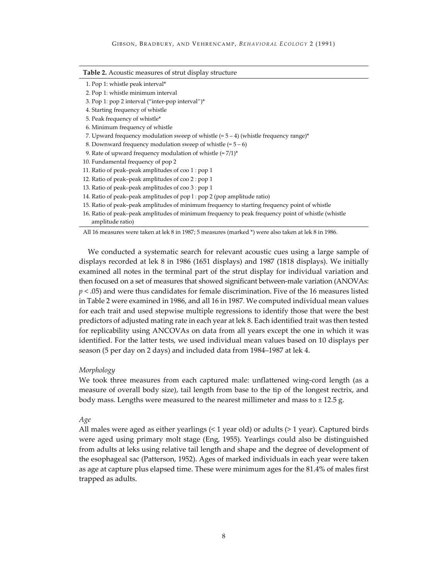| <b>Table 2.</b> Acoustic measures of strut display structure                                                           |  |  |  |  |
|------------------------------------------------------------------------------------------------------------------------|--|--|--|--|
| 1. Pop 1: whistle peak interval*                                                                                       |  |  |  |  |
| 2. Pop 1: whistle minimum interval                                                                                     |  |  |  |  |
| 3. Pop 1: pop 2 interval ("inter-pop interval")*                                                                       |  |  |  |  |
| 4. Starting frequency of whistle                                                                                       |  |  |  |  |
| 5. Peak frequency of whistle*                                                                                          |  |  |  |  |
| 6. Minimum frequency of whistle                                                                                        |  |  |  |  |
| 7. Upward frequency modulation sweep of whistle $(= 5 - 4)$ (whistle frequency range)*                                 |  |  |  |  |
| 8. Downward frequency modulation sweep of whistle $(= 5 - 6)$                                                          |  |  |  |  |
| 9. Rate of upward frequency modulation of whistle $(=7/1)^{*}$                                                         |  |  |  |  |
| 10. Fundamental frequency of pop 2                                                                                     |  |  |  |  |
| 11. Ratio of peak–peak amplitudes of coo 1 : pop 1                                                                     |  |  |  |  |
| 12. Ratio of peak–peak amplitudes of coo 2 : pop 1                                                                     |  |  |  |  |
| 13. Ratio of peak–peak amplitudes of coo 3 : pop 1                                                                     |  |  |  |  |
| 14. Ratio of peak–peak amplitudes of pop $l$ : pop 2 (pop amplitude ratio)                                             |  |  |  |  |
| 15. Ratio of peak-peak amplitudes of minimum frequency to starting frequency point of whistle                          |  |  |  |  |
| 16. Ratio of peak-peak amplitudes of minimum frequency to peak frequency point of whistle (whistle<br>amplitude ratio) |  |  |  |  |

All 16 measures were taken at lek 8 in 1987; 5 measures (marked \*) were also taken at lek 8 in 1986.

We conducted a systematic search for relevant acoustic cues using a large sample of displays recorded at lek 8 in 1986 (1651 displays) and 1987 (1818 displays). We initially examined all notes in the terminal part of the strut display for individual variation and then focused on a set of measures that showed significant between-male variation (ANOVAs:  $p < .05$ ) and were thus candidates for female discrimination. Five of the 16 measures listed in Table 2 were examined in 1986, and all 16 in 1987. We computed individual mean values for each trait and used stepwise multiple regressions to identify those that were the best predictors of adjusted mating rate in each year at lek 8. Each identified trait was then tested for replicability using ANCOVAs on data from all years except the one in which it was identified. For the latter tests, we used individual mean values based on 10 displays per season (5 per day on 2 days) and included data from 1984–1987 at lek 4.

#### *Morphology*

We took three measures from each captured male: unflattened wing-cord length (as a measure of overall body size), tail length from base to the tip of the longest rectrix, and body mass. Lengths were measured to the nearest millimeter and mass to  $\pm$  12.5 g.

#### *Age*

All males were aged as either yearlings  $($  < 1 year old) or adults  $($  > 1 year). Captured birds were aged using primary molt stage (Eng, 1955). Yearlings could also be distinguished from adults at leks using relative tail length and shape and the degree of development of the esophageal sac (Patterson, 1952). Ages of marked individuals in each year were taken as age at capture plus elapsed time. These were minimum ages for the 81.4% of males first trapped as adults.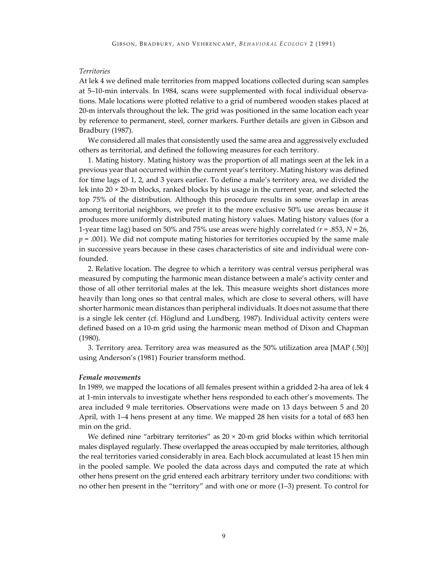#### *Territories*

At lek 4 we defined male territories from mapped locations collected during scan samples at 5–10-min intervals. In 1984, scans were supplemented with focal individual observations. Male locations were plotted relative to a grid of numbered wooden stakes placed at 20-m intervals throughout the lek. The grid was positioned in the same location each year by reference to permanent, steel, corner markers. Further details are given in Gibson and Bradbury (1987).

We considered all males that consistently used the same area and aggressively excluded others as territorial, and defined the following measures for each territory.

1. Mating history. Mating history was the proportion of all matings seen at the lek in a previous year that occurred within the current year's territory. Mating history was defined for time lags of 1, 2, and 3 years earlier. To define a male's territory area, we divided the lek into 20 × 20-m blocks, ranked blocks by his usage in the current year, and selected the top 75% of the distribution. Although this procedure results in some overlap in areas among territorial neighbors, we prefer it to the more exclusive 50% use areas because it produces more uniformly distributed mating history values. Mating history values (for a 1-year time lag) based on 50% and 75% use areas were highly correlated  $(r = .853, N = 26, N = .000)$  $p = .001$ ). We did not compute mating histories for territories occupied by the same male in successive years because in these cases characteristics of site and individual were confounded.

2. Relative location. The degree to which a territory was central versus peripheral was measured by computing the harmonic mean distance between a male's activity center and those of all other territorial males at the lek. This measure weights short distances more heavily than long ones so that central males, which are close to several others, will have shorter harmonic mean distances than peripheral individuals. It does not assume that there is a single lek center (cf. Höglund and Lundberg, 1987). Individual activity centers were defined based on a 10-m grid using the harmonic mean method of Dixon and Chapman (1980).

3. Territory area. Territory area was measured as the 50% utilization area [MAP (.50)] using Anderson's (1981) Fourier transform method.

#### *Female movements*

In 1989, we mapped the locations of all females present within a gridded 2-ha area of lek 4 at 1-min intervals to investigate whether hens responded to each other's movements. The area included 9 male territories. Observations were made on 13 days between 5 and 20 April, with 1–4 hens present at any time. We mapped 28 hen visits for a total of 683 hen min on the grid.

We defined nine "arbitrary territories" as  $20 \times 20$ -m grid blocks within which territorial males displayed regularly. These overlapped the areas occupied by male territories, although the real territories varied considerably in area. Each block accumulated at least 15 hen min in the pooled sample. We pooled the data across days and computed the rate at which other hens present on the grid entered each arbitrary territory under two conditions: with no other hen present in the "territory" and with one or more (1–3) present. To control for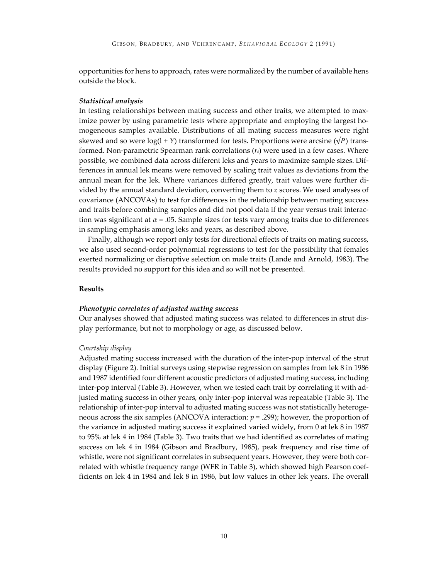opportunities for hens to approach, rates were normalized by the number of available hens outside the block.

#### *Statistical analysis*

In testing relationships between mating success and other traits, we attempted to maximize power by using parametric tests where appropriate and employing the largest homogeneous samples available. Distributions of all mating success measures were right skewed and so were  $log(1 + Y)$  transformed for tests. Proportions were arcsine  $(\sqrt{P})$  transformed. Non-parametric Spearman rank correlations (*rs*) were used in a few cases. Where possible, we combined data across different leks and years to maximize sample sizes. Differences in annual lek means were removed by scaling trait values as deviations from the annual mean for the lek. Where variances differed greatly, trait values were further divided by the annual standard deviation, converting them to *z* scores. We used analyses of covariance (ANCOVAs) to test for differences in the relationship between mating success and traits before combining samples and did not pool data if the year versus trait interaction was significant at  $\alpha$  = .05. Sample sizes for tests vary among traits due to differences in sampling emphasis among leks and years, as described above.

Finally, although we report only tests for directional effects of traits on mating success, we also used second-order polynomial regressions to test for the possibility that females exerted normalizing or disruptive selection on male traits (Lande and Arnold, 1983). The results provided no support for this idea and so will not be presented.

#### **Results**

#### *Phenotypic correlates of adjusted mating success*

Our analyses showed that adjusted mating success was related to differences in strut display performance, but not to morphology or age, as discussed below.

#### *Courtship display*

Adjusted mating success increased with the duration of the inter-pop interval of the strut display (Figure 2). Initial surveys using stepwise regression on samples from lek 8 in 1986 and 1987 identified four different acoustic predictors of adjusted mating success, including inter-pop interval (Table 3). However, when we tested each trait by correlating it with adjusted mating success in other years, only inter-pop interval was repeatable (Table 3). The relationship of inter-pop interval to adjusted mating success was not statistically heterogeneous across the six samples (ANCOVA interaction: *p* = .299); however, the proportion of the variance in adjusted mating success it explained varied widely, from 0 at lek 8 in 1987 to 95% at lek 4 in 1984 (Table 3). Two traits that we had identified as correlates of mating success on lek 4 in 1984 (Gibson and Bradbury, 1985), peak frequency and rise time of whistle, were not significant correlates in subsequent years. However, they were both correlated with whistle frequency range (WFR in Table 3), which showed high Pearson coefficients on lek 4 in 1984 and lek 8 in 1986, but low values in other lek years. The overall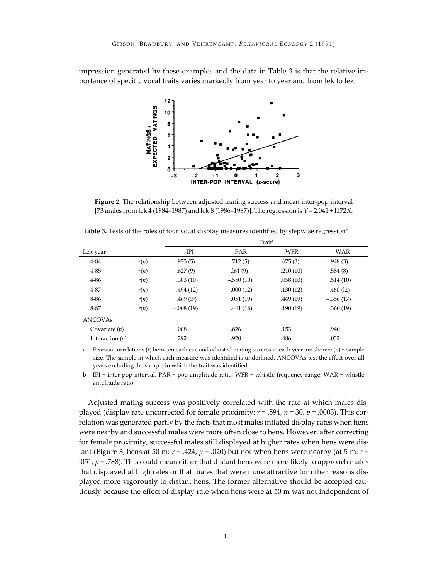impression generated by these examples and the data in Table 3 is that the relative importance of specific vocal traits varies markedly from year to year and from lek to lek.



**Figure 2.** The relationship between adjusted mating success and mean inter-pop interval [73 males from lek 4 (1984–1987) and lek 8 (1986–1987)]. The regression is *Y* = 2.041 + l.l72*X*.

| Table 3. Tests of the roles of four vocal display measures identified by stepwise regression <sup>a</sup> |      |                    |             |            |             |  |
|-----------------------------------------------------------------------------------------------------------|------|--------------------|-------------|------------|-------------|--|
|                                                                                                           |      | Trait <sup>b</sup> |             |            |             |  |
| Lek-year                                                                                                  |      | <b>IPI</b>         | PAR         | <b>WFR</b> | <b>WAR</b>  |  |
| 4-84                                                                                                      | r(n) | .973(5)            | .712(5)     | .675(3)    | .948(3)     |  |
| $4 - 85$                                                                                                  | r(n) | .627(9)            | .161(9)     | .210(10)   | $-.584(8)$  |  |
| $4 - 86$                                                                                                  | r(n) | .303(10)           | $-.550(10)$ | .058(10)   | .514(10)    |  |
| $4 - 87$                                                                                                  | r(n) | .494(12)           | .000(12)    | .130(12)   | $-.460(12)$ |  |
| 8-86                                                                                                      | r(n) | .469(19)           | .051(19)    | .469(19)   | $-.356(17)$ |  |
| 8-87                                                                                                      | r(n) | $-.008(19)$        | .441(18)    | .190(19)   | .360(19)    |  |
| <b>ANCOVAs</b>                                                                                            |      |                    |             |            |             |  |
| Covariate $(p)$                                                                                           |      | .008               | .826        | .153       | .940        |  |
| Interaction $(p)$                                                                                         |      | .292               | .920        | .486       | .032        |  |

a. Pearson correlations  $(r)$  between each cue and adjusted mating success in each year are shown;  $(n)$  = sample size. The sample in which each measure was identified is underlined. ANCOVAs test the effect over all years excluding the sample in which the trait was identified.

b. IPI = inter-pop interval, PAR = pop amplitude ratio, WFR = whistle frequency range, WAR = whistle amplitude ratio

Adjusted mating success was positively correlated with the rate at which males displayed (display rate uncorrected for female proximity: *r* = .594, *n* = 30, *p* = .0003). This correlation was generated partly by the facts that most males inflated display rates when hens were nearby and successful males were more often close to hens. However, after correcting for female proximity, successful males still displayed at higher rates when hens were distant (Figure 3; hens at 50 m: *r* = .424, *p* = .020) but not when hens were nearby (at 5 m: *r* = .051, *p* = .788). This could mean either that distant hens were more likely to approach males that displayed at high rates or that males that were more attractive for other reasons displayed more vigorously to distant hens. The former alternative should be accepted cautiously because the effect of display rate when hens were at 50 m was not independent of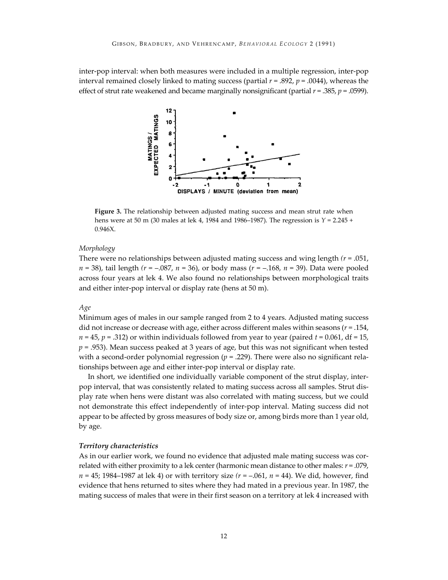inter-pop interval: when both measures were included in a multiple regression, inter-pop interval remained closely linked to mating success (partial *r* = .892, *p* = .0044), whereas the effect of strut rate weakened and became marginally nonsignificant (partial *r* = .385, *p* = .0599).



**Figure 3.** The relationship between adjusted mating success and mean strut rate when hens were at 50 m (30 males at lek 4, 1984 and 1986–1987). The regression is *Y* = 2.245 + 0.946X.

#### *Morphology*

There were no relationships between adjusted mating success and wing length *(r* = .051, *n* = 38), tail length *(r* = –.087, *n* = 36), or body mass (*r* = –.168, *n* = 39). Data were pooled across four years at lek 4. We also found no relationships between morphological traits and either inter-pop interval or display rate (hens at 50 m).

#### *Age*

Minimum ages of males in our sample ranged from 2 to 4 years. Adjusted mating success did not increase or decrease with age, either across different males within seasons (*r* = .154,  $n = 45$ ,  $p = .312$ ) or within individuals followed from year to year (paired  $t = 0.061$ , df = 15, *p* = .953). Mean success peaked at 3 years of age, but this was not significant when tested with a second-order polynomial regression  $(p = .229)$ . There were also no significant relationships between age and either inter-pop interval or display rate.

In short, we identified one individually variable component of the strut display, interpop interval, that was consistently related to mating success across all samples. Strut display rate when hens were distant was also correlated with mating success, but we could not demonstrate this effect independently of inter-pop interval. Mating success did not appear to be affected by gross measures of body size or, among birds more than 1 year old, by age.

#### *Territory characteristics*

As in our earlier work, we found no evidence that adjusted male mating success was correlated with either proximity to a lek center (harmonic mean distance to other males: *r* = .079, *n* = 45; 1984–1987 at lek 4) or with territory size *(r* = –.061, *n* = 44). We did, however, find evidence that hens returned to sites where they had mated in a previous year. In 1987, the mating success of males that were in their first season on a territory at lek 4 increased with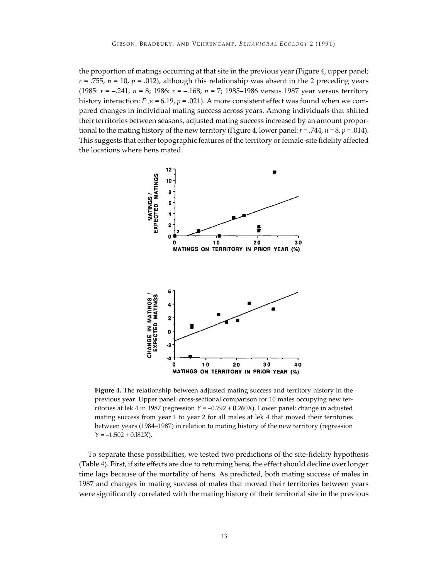the proportion of matings occurring at that site in the previous year (Figure 4, upper panel;  $r = .755$ ,  $n = 10$ ,  $p = .012$ ), although this relationship was absent in the 2 preceding years (1985: *r* = –.241, *n* = 8; 1986: *r* = –.168, *n* = 7; 1985–1986 versus 1987 year versus territory history interaction: *F*<sub>1,19</sub> = 6.19, *p* = .021). A more consistent effect was found when we compared changes in individual mating success across years. Among individuals that shifted their territories between seasons, adjusted mating success increased by an amount proportional to the mating history of the new territory (Figure 4, lower panel:  $r = .744$ ,  $n = 8$ ,  $p = .014$ ). This suggests that either topographic features of the territory or female-site fidelity affected the locations where hens mated.



**Figure 4.** The relationship between adjusted mating success and territory history in the previous year. Upper panel: cross-sectional comparison for 10 males occupying new territories at lek 4 in 1987 (regression  $Y = -0.792 + 0.260X$ ). Lower panel: change in adjusted mating success from year 1 to year 2 for all males at lek 4 that moved their territories between years (1984–1987) in relation to mating history of the new territory (regression *Y* = –1.502 + 0.l82*X*).

To separate these possibilities, we tested two predictions of the site-fidelity hypothesis (Table 4). First, if site effects are due to returning hens, the effect should decline over longer time lags because of the mortality of hens. As predicted, both mating success of males in 1987 and changes in mating success of males that moved their territories between years were significantly correlated with the mating history of their territorial site in the previous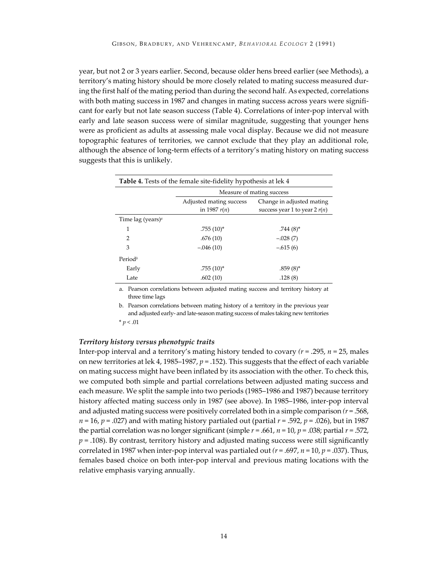year, but not 2 or 3 years earlier. Second, because older hens breed earlier (see Methods), a territory's mating history should be more closely related to mating success measured during the first half of the mating period than during the second half. As expected, correlations with both mating success in 1987 and changes in mating success across years were significant for early but not late season success (Table 4). Correlations of inter-pop interval with early and late season success were of similar magnitude, suggesting that younger hens were as proficient as adults at assessing male vocal display. Because we did not measure topographic features of territories, we cannot exclude that they play an additional role, although the absence of long-term effects of a territory's mating history on mating success suggests that this is unlikely.

| <b>Table 4.</b> Tests of the female site-fidelity hypothesis at lek 4 |                                                                                                           |                        |  |  |
|-----------------------------------------------------------------------|-----------------------------------------------------------------------------------------------------------|------------------------|--|--|
|                                                                       | Measure of mating success                                                                                 |                        |  |  |
|                                                                       | Change in adjusted mating<br>Adjusted mating success<br>in 1987 $r(n)$<br>success year 1 to year 2 $r(n)$ |                        |  |  |
| Time lag (years) <sup>a</sup>                                         |                                                                                                           |                        |  |  |
| 1                                                                     | $.755(10)^*$                                                                                              | $.744(8)$ <sup>*</sup> |  |  |
| $\overline{2}$                                                        | .676(10)                                                                                                  | $-.028(7)$             |  |  |
| 3                                                                     | $-0.046(10)$                                                                                              | $-.615(6)$             |  |  |
| Period <sup>b</sup>                                                   |                                                                                                           |                        |  |  |
| Early                                                                 | $.755(10)^*$                                                                                              | $.859(8)$ <sup>*</sup> |  |  |
| Late                                                                  | .602(10)                                                                                                  | .128(8)                |  |  |

a. Pearson correlations between adjusted mating success and territory history at three time lags

b. Pearson correlations between mating history of a territory in the previous year and adjusted early- and late-season mating success of males taking new territories  $* p < .01$ 

#### *Territory history versus phenotypic traits*

Inter-pop interval and a territory's mating history tended to covary *(r* = .295, *n* = 25, males on new territories at lek 4, 1985–1987, *p* = .152). This suggests that the effect of each variable on mating success might have been inflated by its association with the other. To check this, we computed both simple and partial correlations between adjusted mating success and each measure. We split the sample into two periods (1985–1986 and 1987) because territory history affected mating success only in 1987 (see above). In 1985–1986, inter-pop interval and adjusted mating success were positively correlated both in a simple comparison *(r* = .568, *n* = 16, *p* = .027) and with mating history partialed out (partial  $r = .592$ ,  $p = .026$ ), but in 1987 the partial correlation was no longer significant (simple  $r = .661$ ,  $n = 10$ ,  $p = .038$ ; partial  $r = .572$ ,  $p = .108$ ). By contrast, territory history and adjusted mating success were still significantly correlated in 1987 when inter-pop interval was partialed out  $(r = .697, n = 10, p = .037)$ . Thus, females based choice on both inter-pop interval and previous mating locations with the relative emphasis varying annually.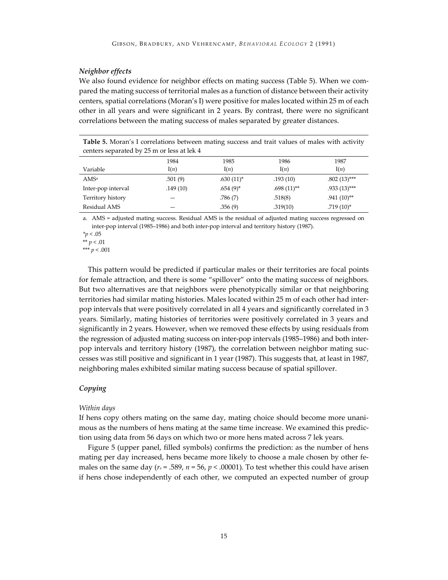#### *Neighbor effects*

We also found evidence for neighbor effects on mating success (Table 5). When we compared the mating success of territorial males as a function of distance between their activity centers, spatial correlations (Moran's I) were positive for males located within 25 m of each other in all years and were significant in 2 years. By contrast, there were no significant correlations between the mating success of males separated by greater distances.

**Table 5.** Moran's I correlations between mating success and trait values of males with activity centers separated by 25 m or less at lek 4

|                    | 1984     | 1985         | 1986          | 1987           |
|--------------------|----------|--------------|---------------|----------------|
| Variable           | I(n)     | I(n)         | I(n)          | I(n)           |
| AMS <sup>a</sup>   | .501(9)  | $.630(11)^*$ | .193(10)      | $.802(13)$ *** |
| Inter-pop interval | .149(10) | $.654(9)$ *  | $.698(11)$ ** | $.933(13)$ *** |
| Territory history  |          | .786(7)      | .518(8)       | $.941(10)$ **  |
| Residual AMS       |          | .356(9)      | .319(10)      | $.719(10)*$    |

a. AMS = adjusted mating success. Residual AMS is the residual of adjusted mating success regressed on inter-pop interval (1985–1986) and both inter-pop interval and territory history (1987).

*\*p* < .05

This pattern would be predicted if particular males or their territories are focal points for female attraction, and there is some "spillover" onto the mating success of neighbors. But two alternatives are that neighbors were phenotypically similar or that neighboring territories had similar mating histories. Males located within 25 m of each other had interpop intervals that were positively correlated in all 4 years and significantly correlated in 3 years. Similarly, mating histories of territories were positively correlated in 3 years and significantly in 2 years. However, when we removed these effects by using residuals from the regression of adjusted mating success on inter-pop intervals (1985–1986) and both interpop intervals and territory history (1987), the correlation between neighbor mating successes was still positive and significant in 1 year (1987). This suggests that, at least in 1987, neighboring males exhibited similar mating success because of spatial spillover.

#### *Copying*

#### *Within days*

If hens copy others mating on the same day, mating choice should become more unanimous as the numbers of hens mating at the same time increase. We examined this prediction using data from 56 days on which two or more hens mated across 7 lek years.

Figure 5 (upper panel, filled symbols) confirms the prediction: as the number of hens mating per day increased, hens became more likely to choose a male chosen by other females on the same day ( $r_s$  = .589,  $n = 56$ ,  $p < .00001$ ). To test whether this could have arisen if hens chose independently of each other, we computed an expected number of group

<sup>\*\*</sup> *p* < .01

<sup>\*\*\*</sup> *p* < .001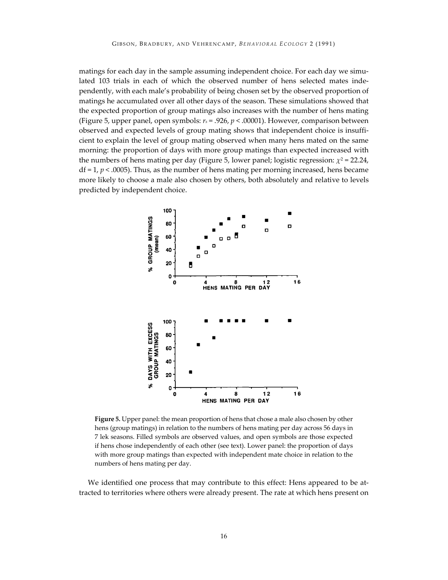matings for each day in the sample assuming independent choice. For each day we simulated 103 trials in each of which the observed number of hens selected mates independently, with each male's probability of being chosen set by the observed proportion of matings he accumulated over all other days of the season. These simulations showed that the expected proportion of group matings also increases with the number of hens mating (Figure 5, upper panel, open symbols: *rs* = .926, *p* < .00001). However, comparison between observed and expected levels of group mating shows that independent choice is insufficient to explain the level of group mating observed when many hens mated on the same morning: the proportion of days with more group matings than expected increased with the numbers of hens mating per day (Figure 5, lower panel; logistic regression:  $\chi^2$  = 22.24,  $df = 1$ ,  $p < .0005$ ). Thus, as the number of hens mating per morning increased, hens became more likely to choose a male also chosen by others, both absolutely and relative to levels predicted by independent choice.



**Figure 5.** Upper panel: the mean proportion of hens that chose a male also chosen by other hens (group matings) in relation to the numbers of hens mating per day across 56 days in 7 lek seasons. Filled symbols are observed values, and open symbols are those expected if hens chose independently of each other (see text). Lower panel: the proportion of days with more group matings than expected with independent mate choice in relation to the numbers of hens mating per day.

We identified one process that may contribute to this effect: Hens appeared to be attracted to territories where others were already present. The rate at which hens present on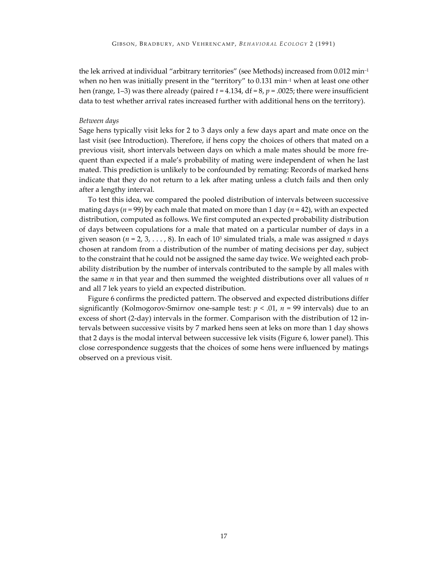the lek arrived at individual "arbitrary territories" (see Methods) increased from 0.012 min<sup>-1</sup> when no hen was initially present in the "territory" to  $0.131 \text{ min}^{-1}$  when at least one other hen (range, 1–3) was there already (paired *t* = 4.134, df = 8, *p* = .0025; there were insufficient data to test whether arrival rates increased further with additional hens on the territory).

#### *Between days*

Sage hens typically visit leks for 2 to 3 days only a few days apart and mate once on the last visit (see Introduction). Therefore, if hens copy the choices of others that mated on a previous visit, short intervals between days on which a male mates should be more frequent than expected if a male's probability of mating were independent of when he last mated. This prediction is unlikely to be confounded by remating: Records of marked hens indicate that they do not return to a lek after mating unless a clutch fails and then only after a lengthy interval.

To test this idea, we compared the pooled distribution of intervals between successive mating days ( $n = 99$ ) by each male that mated on more than 1 day ( $n = 42$ ), with an expected distribution, computed as follows. We first computed an expected probability distribution of days between copulations for a male that mated on a particular number of days in a given season ( $n = 2, 3, \ldots, 8$ ). In each of 10<sup>3</sup> simulated trials, a male was assigned *n* days chosen at random from a distribution of the number of mating decisions per day, subject to the constraint that he could not be assigned the same day twice. We weighted each probability distribution by the number of intervals contributed to the sample by all males with the same *n* in that year and then summed the weighted distributions over all values of *n* and all 7 lek years to yield an expected distribution.

Figure 6 confirms the predicted pattern. The observed and expected distributions differ significantly (Kolmogorov-Smirnov one-sample test:  $p < .01$ ,  $n = 99$  intervals) due to an excess of short (2-day) intervals in the former. Comparison with the distribution of 12 intervals between successive visits by 7 marked hens seen at leks on more than 1 day shows that 2 days is the modal interval between successive lek visits (Figure 6, lower panel). This close correspondence suggests that the choices of some hens were influenced by matings observed on a previous visit.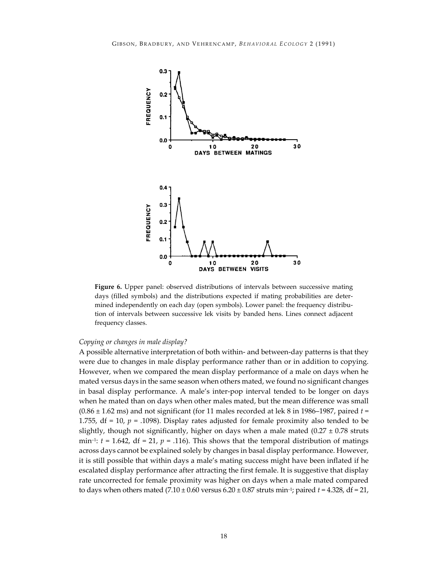

**Figure 6.** Upper panel: observed distributions of intervals between successive mating days (filled symbols) and the distributions expected if mating probabilities are determined independently on each day (open symbols). Lower panel: the frequency distribution of intervals between successive lek visits by banded hens. Lines connect adjacent frequency classes.

#### *Copying or changes in male display?*

A possible alternative interpretation of both within- and between-day patterns is that they were due to changes in male display performance rather than or in addition to copying. However, when we compared the mean display performance of a male on days when he mated versus days in the same season when others mated, we found no significant changes in basal display performance. A male's inter-pop interval tended to be longer on days when he mated than on days when other males mated, but the mean difference was small  $(0.86 \pm 1.62 \text{ ms})$  and not significant (for 11 males recorded at lek 8 in 1986–1987, paired  $t =$ 1.755,  $df = 10$ ,  $p = 0.1098$ ). Display rates adjusted for female proximity also tended to be slightly, though not significantly, higher on days when a male mated  $(0.27 \pm 0.78$  struts min<sup>-1</sup>:  $t = 1.642$ ,  $df = 21$ ,  $p = .116$ ). This shows that the temporal distribution of matings across days cannot be explained solely by changes in basal display performance. However, it is still possible that within days a male's mating success might have been inflated if he escalated display performance after attracting the first female. It is suggestive that display rate uncorrected for female proximity was higher on days when a male mated compared to days when others mated  $(7.10 \pm 0.60 \text{ versus } 6.20 \pm 0.87 \text{ struts min}^{-1})$ ; paired  $t = 4.328$ , df = 21,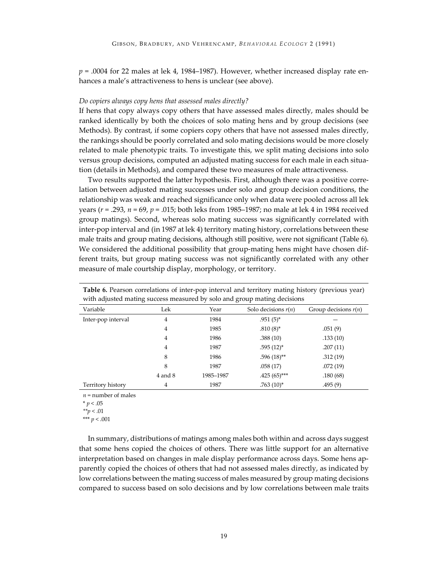$p = .0004$  for 22 males at lek 4, 1984–1987). However, whether increased display rate enhances a male's attractiveness to hens is unclear (see above).

#### *Do copiers always copy hens that assessed males directly?*

If hens that copy always copy others that have assessed males directly, males should be ranked identically by both the choices of solo mating hens and by group decisions (see Methods). By contrast, if some copiers copy others that have not assessed males directly, the rankings should be poorly correlated and solo mating decisions would be more closely related to male phenotypic traits. To investigate this, we split mating decisions into solo versus group decisions, computed an adjusted mating success for each male in each situation (details in Methods), and compared these two measures of male attractiveness.

Two results supported the latter hypothesis. First, although there was a positive correlation between adjusted mating successes under solo and group decision conditions, the relationship was weak and reached significance only when data were pooled across all lek years (*r* = .293, *n* = 69, *p* = .015; both leks from 1985–1987; no male at lek 4 in 1984 received group matings). Second, whereas solo mating success was significantly correlated with inter-pop interval and (in 1987 at lek 4) territory mating history, correlations between these male traits and group mating decisions, although still positive, were not significant (Table 6). We considered the additional possibility that group-mating hens might have chosen different traits, but group mating success was not significantly correlated with any other measure of male courtship display, morphology, or territory.

| with adjusted matrife success measured by solo and group matrife decisions |             |           |                       |                        |  |
|----------------------------------------------------------------------------|-------------|-----------|-----------------------|------------------------|--|
| Variable                                                                   | Lek         | Year      | Solo decisions $r(n)$ | Group decisions $r(n)$ |  |
| Inter-pop interval                                                         | 4           | 1984      | $.951(5)^*$           |                        |  |
|                                                                            | 4           | 1985      | $.810(8)$ *           | .051(9)                |  |
|                                                                            | 4           | 1986      | .388(10)              | .133(10)               |  |
|                                                                            | 4           | 1987      | $.595(12)^*$          | .207(11)               |  |
|                                                                            | 8           | 1986      | $.596(18)$ **         | .312(19)               |  |
|                                                                            | 8           | 1987      | .058(17)              | .072(19)               |  |
|                                                                            | $4$ and $8$ | 1985-1987 | $.425(65)$ ***        | .180(68)               |  |
| Territory history                                                          | 4           | 1987      | $.763(10)*$           | .495(9)                |  |

**Table 6.** Pearson correlations of inter-pop interval and territory mating history (previous year) with adjusted mating success measured by solo and group mating decisions

 $n =$  number of males

*\*\*p* < .01

\*\*\* *p* < .001

In summary, distributions of matings among males both within and across days suggest that some hens copied the choices of others. There was little support for an alternative interpretation based on changes in male display performance across days. Some hens apparently copied the choices of others that had not assessed males directly, as indicated by low correlations between the mating success of males measured by group mating decisions compared to success based on solo decisions and by low correlations between male traits

 $* p < .05$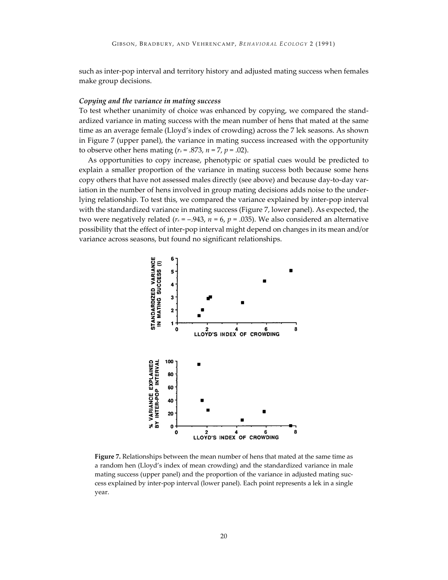such as inter-pop interval and territory history and adjusted mating success when females make group decisions.

#### *Copying and the variance in mating success*

To test whether unanimity of choice was enhanced by copying, we compared the standardized variance in mating success with the mean number of hens that mated at the same time as an average female (Lloyd's index of crowding) across the 7 lek seasons. As shown in Figure 7 (upper panel), the variance in mating success increased with the opportunity to observe other hens mating  $(r_s = .873, n = 7, p = .02)$ .

As opportunities to copy increase, phenotypic or spatial cues would be predicted to explain a smaller proportion of the variance in mating success both because some hens copy others that have not assessed males directly (see above) and because day-to-day variation in the number of hens involved in group mating decisions adds noise to the underlying relationship. To test this, we compared the variance explained by inter-pop interval with the standardized variance in mating success (Figure 7, lower panel). As expected, the two were negatively related ( $r_s = -.943$ ,  $n = 6$ ,  $p = .035$ ). We also considered an alternative possibility that the effect of inter-pop interval might depend on changes in its mean and/or variance across seasons, but found no significant relationships.



**Figure 7.** Relationships between the mean number of hens that mated at the same time as a random hen (Lloyd's index of mean crowding) and the standardized variance in male mating success (upper panel) and the proportion of the variance in adjusted mating success explained by inter-pop interval (lower panel). Each point represents a lek in a single year.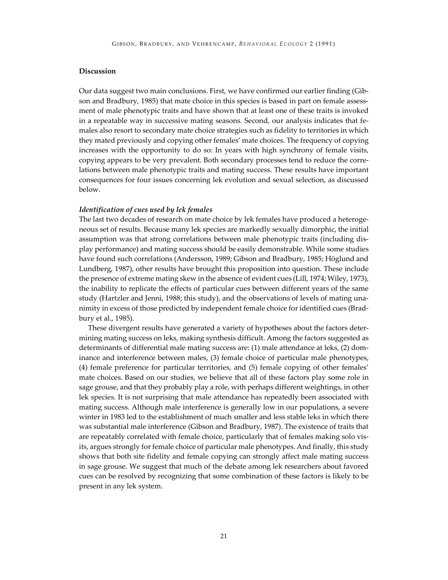#### **Discussion**

Our data suggest two main conclusions. First, we have confirmed our earlier finding (Gibson and Bradbury, 1985) that mate choice in this species is based in part on female assessment of male phenotypic traits and have shown that at least one of these traits is invoked in a repeatable way in successive mating seasons. Second, our analysis indicates that females also resort to secondary mate choice strategies such as fidelity to territories in which they mated previously and copying other females' mate choices. The frequency of copying increases with the opportunity to do so: In years with high synchrony of female visits, copying appears to be very prevalent. Both secondary processes tend to reduce the correlations between male phenotypic traits and mating success. These results have important consequences for four issues concerning lek evolution and sexual selection, as discussed below.

#### *Identification of cues used by lek females*

The last two decades of research on mate choice by lek females have produced a heterogeneous set of results. Because many lek species are markedly sexually dimorphic, the initial assumption was that strong correlations between male phenotypic traits (including display performance) and mating success should be easily demonstrable. While some studies have found such correlations (Andersson, 1989; Gibson and Bradbury, 1985; Höglund and Lundberg, 1987), other results have brought this proposition into question. These include the presence of extreme mating skew in the absence of evident cues (Lill, 1974; Wiley, 1973), the inability to replicate the effects of particular cues between different years of the same study (Hartzler and Jenni, 1988; this study), and the observations of levels of mating unanimity in excess of those predicted by independent female choice for identified cues (Bradbury et al., 1985).

These divergent results have generated a variety of hypotheses about the factors determining mating success on leks, making synthesis difficult. Among the factors suggested as determinants of differential male mating success are: (1) male attendance at leks, (2) dominance and interference between males, (3) female choice of particular male phenotypes, (4) female preference for particular territories, and (5) female copying of other females' mate choices. Based on our studies, we believe that all of these factors play some role in sage grouse, and that they probably play a role, with perhaps different weightings, in other lek species. It is not surprising that male attendance has repeatedly been associated with mating success. Although male interference is generally low in our populations, a severe winter in 1983 led to the establishment of much smaller and less stable leks in which there was substantial male interference (Gibson and Bradbury, 1987). The existence of traits that are repeatably correlated with female choice, particularly that of females making solo visits, argues strongly for female choice of particular male phenotypes. And finally, this study shows that both site fidelity and female copying can strongly affect male mating success in sage grouse. We suggest that much of the debate among lek researchers about favored cues can be resolved by recognizing that some combination of these factors is likely to be present in any lek system.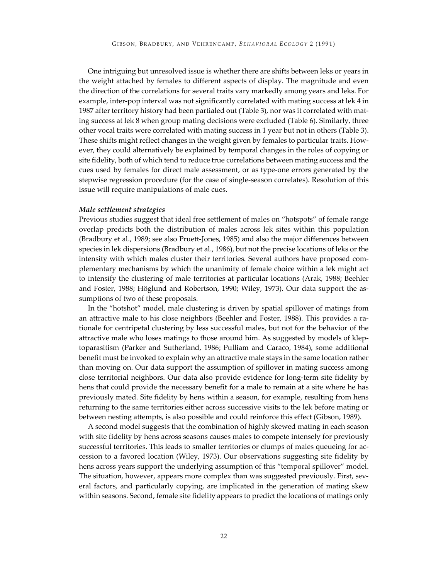One intriguing but unresolved issue is whether there are shifts between leks or years in the weight attached by females to different aspects of display. The magnitude and even the direction of the correlations for several traits vary markedly among years and leks. For example, inter-pop interval was not significantly correlated with mating success at lek 4 in 1987 after territory history had been partialed out (Table 3), nor was it correlated with mating success at lek 8 when group mating decisions were excluded (Table 6). Similarly, three other vocal traits were correlated with mating success in 1 year but not in others (Table 3). These shifts might reflect changes in the weight given by females to particular traits. However, they could alternatively be explained by temporal changes in the roles of copying or site fidelity, both of which tend to reduce true correlations between mating success and the cues used by females for direct male assessment, or as type-one errors generated by the stepwise regression procedure (for the case of single-season correlates). Resolution of this issue will require manipulations of male cues.

#### *Male settlement strategies*

Previous studies suggest that ideal free settlement of males on "hotspots" of female range overlap predicts both the distribution of males across lek sites within this population (Bradbury et al., 1989; see also Pruett-Jones, 1985) and also the major differences between species in lek dispersions (Bradbury et al., 1986), but not the precise locations of leks or the intensity with which males cluster their territories. Several authors have proposed complementary mechanisms by which the unanimity of female choice within a lek might act to intensify the clustering of male territories at particular locations (Arak, 1988; Beehler and Foster, 1988; Höglund and Robertson, 1990; Wiley, 1973). Our data support the assumptions of two of these proposals.

In the "hotshot" model, male clustering is driven by spatial spillover of matings from an attractive male to his close neighbors (Beehler and Foster, 1988). This provides a rationale for centripetal clustering by less successful males, but not for the behavior of the attractive male who loses matings to those around him. As suggested by models of kleptoparasitism (Parker and Sutherland, 1986; Pulliam and Caraco, 1984), some additional benefit must be invoked to explain why an attractive male stays in the same location rather than moving on. Our data support the assumption of spillover in mating success among close territorial neighbors. Our data also provide evidence for long-term site fidelity by hens that could provide the necessary benefit for a male to remain at a site where he has previously mated. Site fidelity by hens within a season, for example, resulting from hens returning to the same territories either across successive visits to the lek before mating or between nesting attempts, is also possible and could reinforce this effect (Gibson, 1989).

A second model suggests that the combination of highly skewed mating in each season with site fidelity by hens across seasons causes males to compete intensely for previously successful territories. This leads to smaller territories or clumps of males queueing for accession to a favored location (Wiley, 1973). Our observations suggesting site fidelity by hens across years support the underlying assumption of this "temporal spillover" model. The situation, however, appears more complex than was suggested previously. First, several factors, and particularly copying, are implicated in the generation of mating skew within seasons. Second, female site fidelity appears to predict the locations of matings only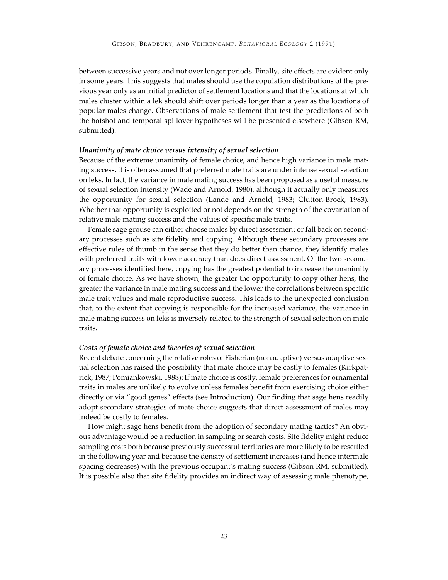between successive years and not over longer periods. Finally, site effects are evident only in some years. This suggests that males should use the copulation distributions of the previous year only as an initial predictor of settlement locations and that the locations at which males cluster within a lek should shift over periods longer than a year as the locations of popular males change. Observations of male settlement that test the predictions of both the hotshot and temporal spillover hypotheses will be presented elsewhere (Gibson RM, submitted).

#### *Unanimity of mate choice versus intensity of sexual selection*

Because of the extreme unanimity of female choice, and hence high variance in male mating success, it is often assumed that preferred male traits are under intense sexual selection on leks. In fact, the variance in male mating success has been proposed as a useful measure of sexual selection intensity (Wade and Arnold, 1980), although it actually only measures the opportunity for sexual selection (Lande and Arnold, 1983; Clutton-Brock, 1983). Whether that opportunity is exploited or not depends on the strength of the covariation of relative male mating success and the values of specific male traits.

Female sage grouse can either choose males by direct assessment or fall back on secondary processes such as site fidelity and copying. Although these secondary processes are effective rules of thumb in the sense that they do better than chance, they identify males with preferred traits with lower accuracy than does direct assessment. Of the two secondary processes identified here, copying has the greatest potential to increase the unanimity of female choice. As we have shown, the greater the opportunity to copy other hens, the greater the variance in male mating success and the lower the correlations between specific male trait values and male reproductive success. This leads to the unexpected conclusion that, to the extent that copying is responsible for the increased variance, the variance in male mating success on leks is inversely related to the strength of sexual selection on male traits.

#### *Costs of female choice and theories of sexual selection*

Recent debate concerning the relative roles of Fisherian (nonadaptive) versus adaptive sexual selection has raised the possibility that mate choice may be costly to females (Kirkpatrick, 1987; Pomiankowski, 1988): If mate choice is costly, female preferences for ornamental traits in males are unlikely to evolve unless females benefit from exercising choice either directly or via "good genes" effects (see Introduction). Our finding that sage hens readily adopt secondary strategies of mate choice suggests that direct assessment of males may indeed be costly to females.

How might sage hens benefit from the adoption of secondary mating tactics? An obvious advantage would be a reduction in sampling or search costs. Site fidelity might reduce sampling costs both because previously successful territories are more likely to be resettled in the following year and because the density of settlement increases (and hence intermale spacing decreases) with the previous occupant's mating success (Gibson RM, submitted). It is possible also that site fidelity provides an indirect way of assessing male phenotype,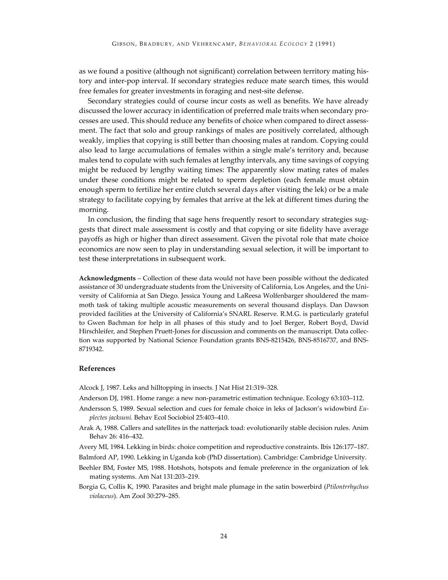as we found a positive (although not significant) correlation between territory mating history and inter-pop interval. If secondary strategies reduce mate search times, this would free females for greater investments in foraging and nest-site defense.

Secondary strategies could of course incur costs as well as benefits. We have already discussed the lower accuracy in identification of preferred male traits when secondary processes are used. This should reduce any benefits of choice when compared to direct assessment. The fact that solo and group rankings of males are positively correlated, although weakly, implies that copying is still better than choosing males at random. Copying could also lead to large accumulations of females within a single male's territory and, because males tend to copulate with such females at lengthy intervals, any time savings of copying might be reduced by lengthy waiting times: The apparently slow mating rates of males under these conditions might be related to sperm depletion (each female must obtain enough sperm to fertilize her entire clutch several days after visiting the lek) or be a male strategy to facilitate copying by females that arrive at the lek at different times during the morning.

In conclusion, the finding that sage hens frequently resort to secondary strategies suggests that direct male assessment is costly and that copying or site fidelity have average payoffs as high or higher than direct assessment. Given the pivotal role that mate choice economics are now seen to play in understanding sexual selection, it will be important to test these interpretations in subsequent work.

**Acknowledgments** – Collection of these data would not have been possible without the dedicated assistance of 30 undergraduate students from the University of California, Los Angeles, and the University of California at San Diego. Jessica Young and LaReesa Wolfenbarger shouldered the mammoth task of taking multiple acoustic measurements on several thousand displays. Dan Dawson provided facilities at the University of California's SNARL Reserve. R.M.G. is particularly grateful to Gwen Bachman for help in all phases of this study and to Joel Berger, Robert Boyd, David Hirschleifer, and Stephen Pruett-Jones for discussion and comments on the manuscript. Data collection was supported by National Science Foundation grants BNS-8215426, BNS-8516737, and BNS-8719342.

### **References**

Alcock J, 1987. Leks and hilltopping in insects. J Nat Hist 21:319–328.

- Anderson DJ, 1981. Home range: a new non-parametric estimation technique. Ecology 63:103–112.
- Andersson S, 1989. Sexual selection and cues for female choice in leks of Jackson's widowbird *Euplectes jacksuni.* Behav Ecol Sociobiol 25:403–410.
- Arak A, 1988. Callers and satellites in the natterjack toad: evolutionarily stable decision rules. Anim Behav 26: 416–432.
- Avery MI, 1984. Lekking in birds: choice competition and reproductive constraints. Ibis 126:177–187.
- Balmford AP, 1990. Lekking in Uganda kob (PhD dissertation). Cambridge: Cambridge University.
- Beehler BM, Foster MS, 1988. Hotshots, hotspots and female preference in the organization of lek mating systems. Am Nat 131:203–219.
- Borgia G, Collis K, 1990. Parasites and bright male plumage in the satin bowerbird (*Ptilontrrhychus violaceus*). Am Zool 30:279–285.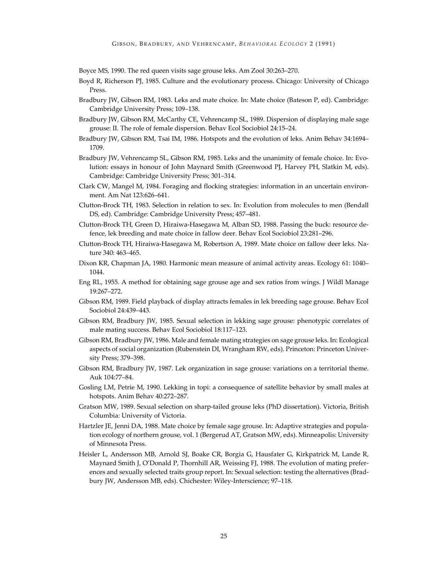Boyce MS, 1990. The red queen visits sage grouse leks. Am Zool 30:263–270.

- Boyd R, Richerson PJ, 1985. Culture and the evolutionary process. Chicago: University of Chicago Press.
- Bradbury JW, Gibson RM, 1983. Leks and mate choice. In: Mate choice (Bateson P, ed). Cambridge: Cambridge University Press; 109–138.
- Bradbury JW, Gibson RM, McCarthy CE, Vehrencamp SL, 1989. Dispersion of displaying male sage grouse: II. The role of female dispersion. Behav Ecol Sociobiol 24:15–24.
- Bradbury JW, Gibson RM, Tsai IM, 1986. Hotspots and the evolution of leks. Anim Behav 34:1694– 1709.
- Bradbury JW, Vehrencamp SL, Gibson RM, 1985. Leks and the unanimity of female choice. In: Evolution: essays in honour of John Maynard Smith (Greenwood PJ, Harvey PH, Slatkin M, eds). Cambridge: Cambridge University Press; 301–314.
- Clark CW, Mangel M, 1984. Foraging and flocking strategies: information in an uncertain environment. Am Nat 123:626–641.
- Clutton-Brock TH, 1983. Selection in relation to sex. In: Evolution from molecules to men (Bendall DS, ed). Cambridge: Cambridge University Press; 457–481.
- Clutton-Brock TH, Green D, Hiraiwa-Hasegawa M, Alban SD, 1988. Passing the buck: resource defence, lek breeding and mate choice in fallow deer. Behav Ecol Sociobiol 23:281–296.
- Clutton-Brock TH, Hiraiwa-Hasegawa M, Robertson A, 1989. Mate choice on fallow deer leks. Nature 340: 463–465.
- Dixon KR, Chapman JA, 1980. Harmonic mean measure of animal activity areas. Ecology 61: 1040– 1044.
- Eng RL, 1955. A method for obtaining sage grouse age and sex ratios from wings. J Wildl Manage 19:267–272.
- Gibson RM, 1989. Field playback of display attracts females in lek breeding sage grouse. Behav Ecol Sociobiol 24:439–443.
- Gibson RM, Bradbury JW, 1985. Sexual selection in lekking sage grouse: phenotypic correlates of male mating success. Behav Ecol Sociobiol 18:117–123.
- Gibson RM, Bradbury JW, 1986. Male and female mating strategies on sage grouse leks. In: Ecological aspects of social organization (Rubenstein DI, Wrangham RW, eds). Princeton: Princeton University Press; 379–398.
- Gibson RM, Bradbury JW, 1987. Lek organization in sage grouse: variations on a territorial theme. Auk 104:77–84.
- Gosling LM, Petrie M, 1990. Lekking in topi: a consequence of satellite behavior by small males at hotspots. Anim Behav 40:272–287.
- Gratson MW, 1989. Sexual selection on sharp-tailed grouse leks (PhD dissertation). Victoria, British Columbia: University of Victoria.
- Hartzler JE, Jenni DA, 1988. Mate choice by female sage grouse. In: Adaptive strategies and population ecology of northern grouse, vol. 1 (Bergerud AT, Gratson MW, eds). Minneapolis: University of Minnesota Press.
- Heisler L, Andersson MB, Arnold SJ, Boake CR, Borgia G, Hausfater G, Kirkpatrick M, Lande R, Maynard Smith J, O'Donald P, Thornhill AR, Weissing FJ, 1988. The evolution of mating preferences and sexually selected traits group report. In: Sexual selection: testing the alternatives (Bradbury JW, Andersson MB, eds). Chichester: Wiley-Interscience; 97–118.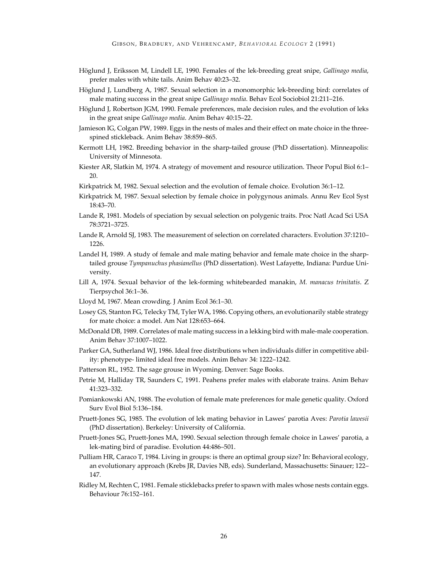- Höglund J, Eriksson M, Lindell LE, 1990. Females of the lek-breeding great snipe, *Gallinago media*, prefer males with white tails. Anim Behav 40:23–32.
- Höglund J, Lundberg A, 1987. Sexual selection in a monomorphic lek-breeding bird: correlates of male mating success in the great snipe *Gallinago media*. Behav Ecol Sociobiol 21:211–216.
- Höglund J, Robertson JGM, 1990. Female preferences, male decision rules, and the evolution of leks in the great snipe *Gallinago media*. Anim Behav 40:15–22.
- Jamieson IG, Colgan PW, 1989. Eggs in the nests of males and their effect on mate choice in the threespined stickleback. Anim Behav 38:859–865.
- Kermott LH, 1982. Breeding behavior in the sharp-tailed grouse (PhD dissertation). Minneapolis: University of Minnesota.
- Kiester AR, Slatkin M, 1974. A strategy of movement and resource utilization. Theor Popul Biol 6:1– 20.
- Kirkpatrick M, 1982. Sexual selection and the evolution of female choice. Evolution 36:1–12.
- Kirkpatrick M, 1987. Sexual selection by female choice in polygynous animals. Annu Rev Ecol Syst 18:43–70.
- Lande R, 1981. Models of speciation by sexual selection on polygenic traits. Proc Natl Acad Sci USA 78:3721–3725.
- Lande R, Arnold SJ, 1983. The measurement of selection on correlated characters. Evolution 37:1210– 1226.
- Landel H, 1989. A study of female and male mating behavior and female mate choice in the sharptailed grouse *Tympanuchus phasianellus* (PhD dissertation). West Lafayette, Indiana: Purdue University.
- Lill A, 1974. Sexual behavior of the lek-forming whitebearded manakin, *M. manacus trinitatis*. Z Tierpsychol 36:1–36.
- Lloyd M, 1967. Mean crowding. J Anim Ecol 36:1–30.
- Losey GS, Stanton FG, Telecky TM, Tyler WA, 1986. Copying others, an evolutionarily stable strategy for mate choice: a model. Am Nat 128:653–664.
- McDonald DB, 1989. Correlates of male mating success in a lekking bird with male-male cooperation. Anim Behav 37:1007–1022.
- Parker GA, Sutherland WJ, 1986. Ideal free distributions when individuals differ in competitive ability: phenotype- limited ideal free models. Anim Behav 34: 1222–1242.
- Patterson RL, 1952. The sage grouse in Wyoming. Denver: Sage Books.
- Petrie M, Halliday TR, Saunders C, 1991. Peahens prefer males with elaborate trains. Anim Behav 41:323–332.
- Pomiankowski AN, 1988. The evolution of female mate preferences for male genetic quality. Oxford Surv Evol Biol 5:136–184.
- Pruett-Jones SG, 1985. The evolution of lek mating behavior in Lawes' parotia Aves: *Parotia lawesii* (PhD dissertation). Berkeley: University of California.
- Pruett-Jones SG, Pruett-Jones MA, 1990. Sexual selection through female choice in Lawes' parotia, a lek-mating bird of paradise. Evolution 44:486–501.
- Pulliam HR, Caraco T, 1984. Living in groups: is there an optimal group size? In: Behavioral ecology, an evolutionary approach (Krebs JR, Davies NB, eds). Sunderland, Massachusetts: Sinauer; 122– 147.
- Ridley M, Rechten C, 1981. Female sticklebacks preferto spawn with males whose nests contain eggs. Behaviour 76:152–161.